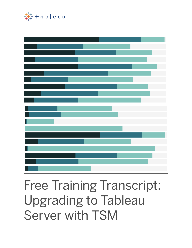

# Free Training Transcript: Upgrading to Tableau Server with TSM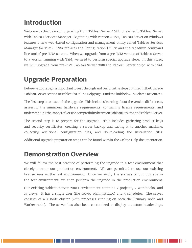#### **Introduction**

Welcome to this video on upgrading from Tableau Server 2018.1 or earlier to Tableau Server with Tableau Services Manager. Beginning with version 2018.2, Tableau Server on Windows features a new web-based configuration and management utility called Tableau Services Manager (or TSM). TSM replaces the Configuration Utility and the tabadmin command line tool of pre-TSM servers. When we upgrade from a pre-TSM version of Tableau Server to a version running with TSM, we need to perform special upgrade steps. In this video, we will upgrade from pre-TSM Tableau Server 2018.1 to Tableau Server 2019.1 with TSM.

## **Upgrade Preparation**

Before we upgrade, it is important to read through and perform the steps outlined in the Upgrade Tableau Server section of Tableau's Online Help page. Find the link below in Related Resources.

The first step is to research the upgrade. This includes learning about the version differences, assessing the minimum hardware requirements, confirming license requirements, and understanding the impact of version compatibility between Tableau Desktop and Tableau Server.

The second step is to prepare for the upgrade. This includes gathering product keys and security certificates, creating a server backup and saving it to another machine, collecting additional configuration files, and downloading the installation files. Additional upgrade preparation steps can be found within the Online Help documentation.

## **Demonstration Overview**

We will follow the best practice of performing the upgrade in a test environment that closely mirrors our production environment. We are permitted to use our existing license keys in the test environment. Once we verify the success of our upgrade in the test environment, we then perform the upgrade in the production environment.

Our existing Tableau Server 2018.1 environment contains 2 projects, 2 workbooks, and 15 views. It has a single user (the server administrator) and 5 schedules. The server consists of a 2-node cluster (with processes running on both the Primary node and Worker node). The server has also been customized to display a custom header logo.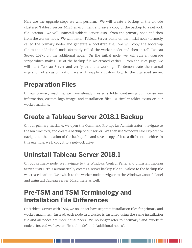Here are the upgrade steps we will perform. We will create a backup of the 2-node clustered Tableau Server 2018.1 environment and save a copy of the backup to a network file location. We will uninstall Tableau Server 2018.1 from the primary node and then from the worker node. We will install Tableau Server 2019.1 on the initial node (formerly called the primary node) and generate a bootstrap file. We will copy the bootstrap file to the additional node (formerly called the worker node) and then install Tableau Server 2019.1 on the additional node. On the initial node, we will run an upgrade script which makes use of the backup file we created earlier. From the TSM page, we will start Tableau Server and verify that it is working. To demonstrate the manual migration of a customization, we will reapply a custom logo to the upgraded server.

## **Preparation Files**

On our primary machine, we have already created a folder containing our license key information, custom logo image, and installation files. A similar folder exists on our worker machine.

## **Create a Tableau Server 2018.1 Backup**

On our primary machine, we open the Command Prompt (as Administrator), navigate to the bin directory, and create a backup of our server. We then use Windows File Explorer to navigate to the location of the backup file and save a copy of it to a different machine. In this example, we'll copy it to a network drive.

# **Uninstall Tableau Server 2018.1**

On our primary node, we navigate to the Windows Control Panel and uninstall Tableau Server 2018.1. This automatically creates a server backup file equivalent to the backup file we created earlier. We switch to the worker node, navigate to the Windows Control Panel and uninstall Tableau Server 2018.1 there as well.

#### **Pre-TSM and TSM Terminology and Installation File Differences**

On Tableau Server with TSM, we no longer have separate installation files for primary and worker machines. Instead, each node in a cluster is installed using the same installation file and all nodes are more equal peers. We no longer refer to "primary" and "worker" nodes. Instead we have an "initial node" and "additional nodes".

HH.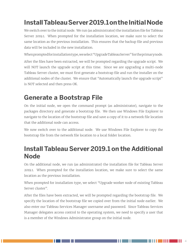# **Install Tableau Server 2019.1 on the Initial Node**

We switch over to the initial node. We run (as administrator) the installation file for Tableau Server 2019.1. When prompted for the installation location, we make sure to select the same location as the previous installation. This ensures that the backup file and previous data will be included in the new installation.

When prompted for installation type, we select "Upgrade Tableau Server" for the primary node.

After the files have been extracted, we will be prompted regarding the upgrade script. We will NOT launch the upgrade script at this time. Since we are upgrading a multi-node Tableau Server cluster, we must first generate a bootstrap file and run the installer on the additional nodes of the cluster. We ensure that "Automatically launch the upgrade script" is NOT selected and then press OK.

# **Generate a Bootstrap File**

On the initial node, we open the command prompt (as administrator), navigate to the packages directory and generate a bootstrap file. We then use Windows File Explorer to navigate to the location of the bootstrap file and save a copy of it to a network file location that the additional node can access.

We now switch over to the additional node. We use Windows File Explorer to copy the bootstrap file from the network file location to a local folder location.

#### **Install Tableau Server 2019.1 on the Additional Node**

On the additional node, we run (as administrator) the installation file for Tableau Server 2019.1. When prompted for the installation location, we make sure to select the same location as the previous installation.

When prompted for installation type, we select "Upgrade worker node of existing Tableau Server cluster".

After the files have been extracted, we will be prompted regarding the bootstrap file. We specify the location of the bootstrap file we copied over from the initial node earlier. We also enter our Tableau Services Manager username and password. Since Tableau Services Manager delegates access control to the operating system, we need to specify a user that is a member of the Windows Administrator group on the initial node.